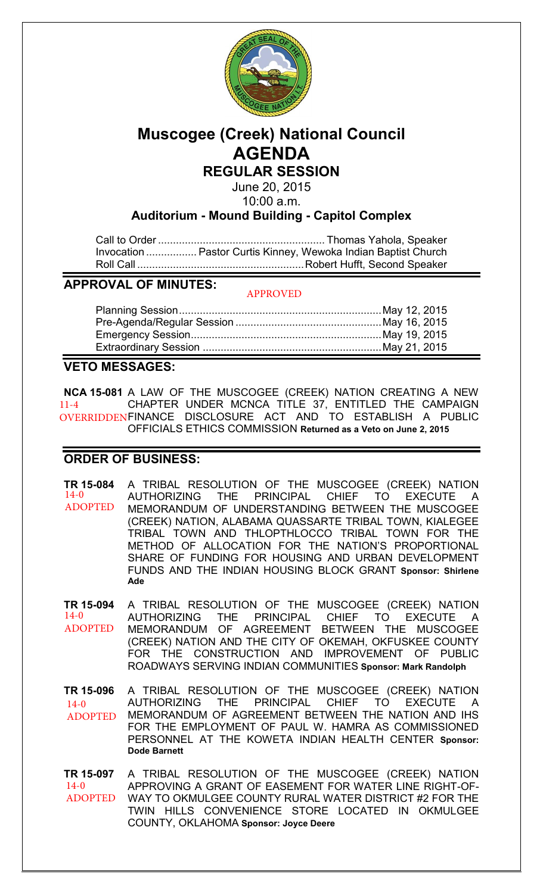

# **Muscogee (Creek) National Council AGENDA**

**REGULAR SESSION**

June 20, 2015 10:00 a.m.

**Auditorium - Mound Building - Capitol Complex**

Call to Order ........................................................ Thomas Yahola, Speaker Invocation ................. Pastor Curtis Kinney, Wewoka Indian Baptist Church Roll Call ........................................................ Robert Hufft, Second Speaker

**APPROVAL OF MINUTES:**

APPROVED

# **VETO MESSAGES:**

**NCA 15-081** A LAW OF THE MUSCOGEE (CREEK) NATION CREATING A NEW CHAPTER UNDER MCNCA TITLE 37, ENTITLED THE CAMPAIGN FINANCE DISCLOSURE ACT AND TO ESTABLISH A PUBLIC OFFICIALS ETHICS COMMISSION **Returned as a Veto on June 2, 2015**  11-4 OVERRIDDEN

## **ORDER OF BUSINESS:**

**TR 15-084** A TRIBAL RESOLUTION OF THE MUSCOGEE (CREEK) NATION AUTHORIZING THE PRINCIPAL CHIEF TO EXECUTE A MEMORANDUM OF UNDERSTANDING BETWEEN THE MUSCOGEE (CREEK) NATION, ALABAMA QUASSARTE TRIBAL TOWN, KIALEGEE TRIBAL TOWN AND THLOPTHLOCCO TRIBAL TOWN FOR THE METHOD OF ALLOCATION FOR THE NATION'S PROPORTIONAL SHARE OF FUNDING FOR HOUSING AND URBAN DEVELOPMENT FUNDS AND THE INDIAN HOUSING BLOCK GRANT **Sponsor: Shirlene Ade** 14-0 ADOPTED

**TR 15-094** A TRIBAL RESOLUTION OF THE MUSCOGEE (CREEK) NATION AUTHORIZING THE PRINCIPAL CHIEF TO EXECUTE A MEMORANDUM OF AGREEMENT BETWEEN THE MUSCOGEE (CREEK) NATION AND THE CITY OF OKEMAH, OKFUSKEE COUNTY FOR THE CONSTRUCTION AND IMPROVEMENT OF PUBLIC ROADWAYS SERVING INDIAN COMMUNITIES **Sponsor: Mark Randolph** 14-0 ADOPTED

**TR 15-096** A TRIBAL RESOLUTION OF THE MUSCOGEE (CREEK) NATION AUTHORIZING THE PRINCIPAL CHIEF TO EXECUTE A MEMORANDUM OF AGREEMENT BETWEEN THE NATION AND IHS FOR THE EMPLOYMENT OF PAUL W. HAMRA AS COMMISSIONED PERSONNEL AT THE KOWETA INDIAN HEALTH CENTER **Sponsor: Dode Barnett**  $14-0$ ADOPTED

**TR 15-097** A TRIBAL RESOLUTION OF THE MUSCOGEE (CREEK) NATION APPROVING A GRANT OF EASEMENT FOR WATER LINE RIGHT-OF-WAY TO OKMULGEE COUNTY RURAL WATER DISTRICT #2 FOR THE TWIN HILLS CONVENIENCE STORE LOCATED IN OKMULGEE COUNTY, OKLAHOMA **Sponsor: Joyce Deere** 14-0 ADOPTED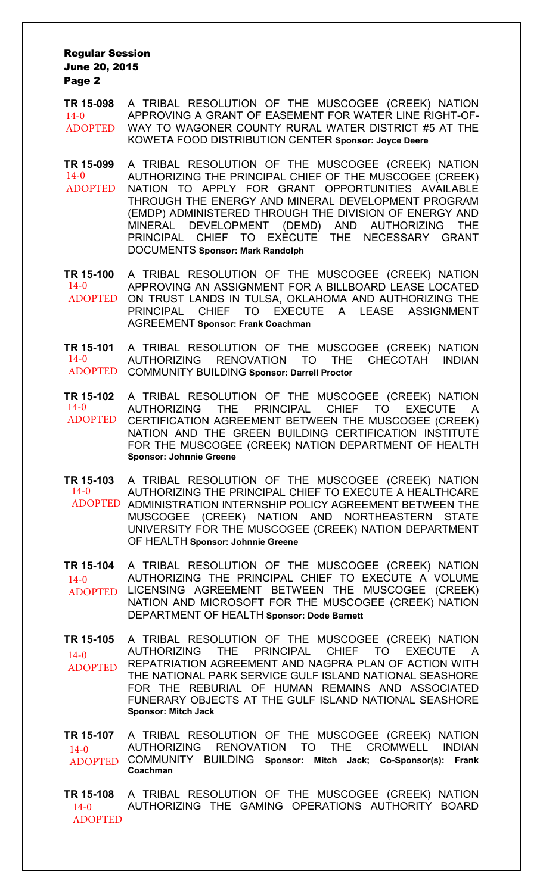**TR 15-098** A TRIBAL RESOLUTION OF THE MUSCOGEE (CREEK) NATION APPROVING A GRANT OF EASEMENT FOR WATER LINE RIGHT-OF-WAY TO WAGONER COUNTY RURAL WATER DISTRICT #5 AT THE KOWETA FOOD DISTRIBUTION CENTER **Sponsor: Joyce Deere** 14-0 ADOPTED

**TR 15-099** A TRIBAL RESOLUTION OF THE MUSCOGEE (CREEK) NATION AUTHORIZING THE PRINCIPAL CHIEF OF THE MUSCOGEE (CREEK) NATION TO APPLY FOR GRANT OPPORTUNITIES AVAILABLE THROUGH THE ENERGY AND MINERAL DEVELOPMENT PROGRAM (EMDP) ADMINISTERED THROUGH THE DIVISION OF ENERGY AND MINERAL DEVELOPMENT (DEMD) AND AUTHORIZING THE PRINCIPAL CHIEF TO EXECUTE THE NECESSARY GRANT DOCUMENTS **Sponsor: Mark Randolph**  $14-0$ ADOPTED

**TR 15-100** A TRIBAL RESOLUTION OF THE MUSCOGEE (CREEK) NATION APPROVING AN ASSIGNMENT FOR A BILLBOARD LEASE LOCATED ADOPTED ON TRUST LANDS IN TULSA, OKLAHOMA AND AUTHORIZING THE PRINCIPAL CHIEF TO EXECUTE A LEASE ASSIGNMENT AGREEMENT **Sponsor: Frank Coachman**  $14-0$ 

**TR 15-101** A TRIBAL RESOLUTION OF THE MUSCOGEE (CREEK) NATION AUTHORIZING RENOVATION TO THE CHECOTAH INDIAN COMMUNITY BUILDING **Sponsor: Darrell Proctor** ADOPTED 14-0

**TR 15-102** A TRIBAL RESOLUTION OF THE MUSCOGEE (CREEK) NATION AUTHORIZING THE PRINCIPAL CHIEF TO EXECUTE A CERTIFICATION AGREEMENT BETWEEN THE MUSCOGEE (CREEK) NATION AND THE GREEN BUILDING CERTIFICATION INSTITUTE FOR THE MUSCOGEE (CREEK) NATION DEPARTMENT OF HEALTH **Sponsor: Johnnie Greene** 14-0 ADOPTED

**TR 15-103** A TRIBAL RESOLUTION OF THE MUSCOGEE (CREEK) NATION AUTHORIZING THE PRINCIPAL CHIEF TO EXECUTE A HEALTHCARE ADOPTED ADMINISTRATION INTERNSHIP POLICY AGREEMENT BETWEEN THE MUSCOGEE (CREEK) NATION AND NORTHEASTERN STATE UNIVERSITY FOR THE MUSCOGEE (CREEK) NATION DEPARTMENT OF HEALTH **Sponsor: Johnnie Greene** 14-0

**TR 15-104** A TRIBAL RESOLUTION OF THE MUSCOGEE (CREEK) NATION AUTHORIZING THE PRINCIPAL CHIEF TO EXECUTE A VOLUME LICENSING AGREEMENT BETWEEN THE MUSCOGEE (CREEK) NATION AND MICROSOFT FOR THE MUSCOGEE (CREEK) NATION DEPARTMENT OF HEALTH **Sponsor: Dode Barnett** 14-0 ADOPTED

**TR 15-105** A TRIBAL RESOLUTION OF THE MUSCOGEE (CREEK) NATION AUTHORIZING THE PRINCIPAL CHIEF TO EXECUTE A REPATRIATION AGREEMENT AND NAGPRA PLAN OF ACTION WITH THE NATIONAL PARK SERVICE GULF ISLAND NATIONAL SEASHORE FOR THE REBURIAL OF HUMAN REMAINS AND ASSOCIATED FUNERARY OBJECTS AT THE GULF ISLAND NATIONAL SEASHORE **Sponsor: Mitch Jack**  $14-0$ ADOPTED

**TR 15-107** A TRIBAL RESOLUTION OF THE MUSCOGEE (CREEK) NATION RENOVATION TO THE CROMWELL INDIAN COMMUNITY BUILDING **Sponsor: Mitch Jack; Co-Sponsor(s): Frank**  ADOPTED **Coachman** 14-0

**TR 15-108** A TRIBAL RESOLUTION OF THE MUSCOGEE (CREEK) NATION AUTHORIZING THE GAMING OPERATIONS AUTHORITY BOARD  $14 - 0$ ADOPTED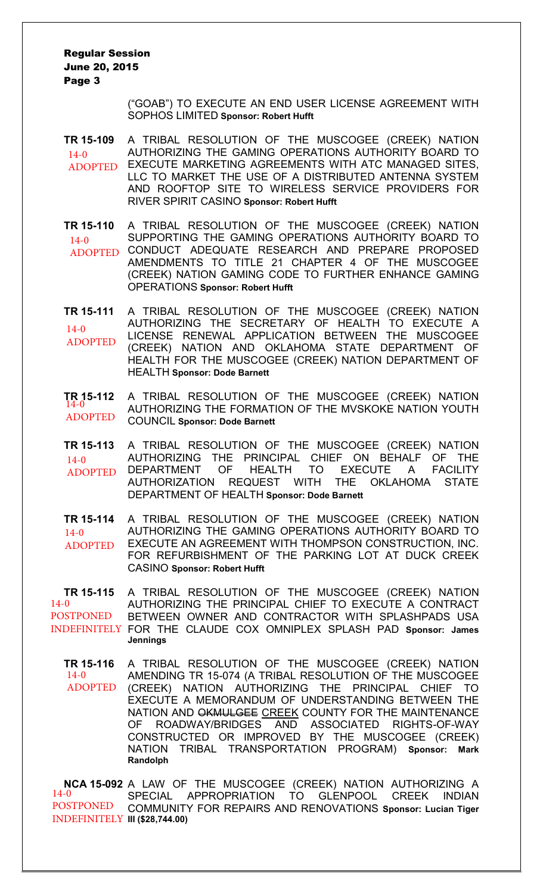> ("GOAB") TO EXECUTE AN END USER LICENSE AGREEMENT WITH SOPHOS LIMITED **Sponsor: Robert Hufft**

**TR 15-109** A TRIBAL RESOLUTION OF THE MUSCOGEE (CREEK) NATION AUTHORIZING THE GAMING OPERATIONS AUTHORITY BOARD TO ADOPTED EXECUTE MARKETING AGREEMENTS WITH ATC MANAGED SITES, LLC TO MARKET THE USE OF A DISTRIBUTED ANTENNA SYSTEM AND ROOFTOP SITE TO WIRELESS SERVICE PROVIDERS FOR RIVER SPIRIT CASINO **Sponsor: Robert Hufft**  $14-0$ 

**TR 15-110** A TRIBAL RESOLUTION OF THE MUSCOGEE (CREEK) NATION SUPPORTING THE GAMING OPERATIONS AUTHORITY BOARD TO ADOPTED CONDUCT ADEQUATE RESEARCH AND PREPARE PROPOSED AMENDMENTS TO TITLE 21 CHAPTER 4 OF THE MUSCOGEE (CREEK) NATION GAMING CODE TO FURTHER ENHANCE GAMING OPERATIONS **Sponsor: Robert Hufft**  $14-0$ 

**TR 15-111** A TRIBAL RESOLUTION OF THE MUSCOGEE (CREEK) NATION AUTHORIZING THE SECRETARY OF HEALTH TO EXECUTE A LICENSE RENEWAL APPLICATION BETWEEN THE MUSCOGEE (CREEK) NATION AND OKLAHOMA STATE DEPARTMENT OF HEALTH FOR THE MUSCOGEE (CREEK) NATION DEPARTMENT OF HEALTH **Sponsor: Dode Barnett** 14-0 ADOPTED

**TR 15-112** A TRIBAL RESOLUTION OF THE MUSCOGEE (CREEK) NATION AUTHORIZING THE FORMATION OF THE MVSKOKE NATION YOUTH COUNCIL **Sponsor: Dode Barnett**  $TR_{14-0}$ 15-112 ADOPTED

**TR 15-113** A TRIBAL RESOLUTION OF THE MUSCOGEE (CREEK) NATION AUTHORIZING THE PRINCIPAL CHIEF ON BEHALF OF THE DEPARTMENT OF HEALTH TO EXECUTE A FACILITY AUTHORIZATION REQUEST WITH THE OKLAHOMA STATE DEPARTMENT OF HEALTH **Sponsor: Dode Barnett**  $14-0$ ADOPTED

**TR 15-114** A TRIBAL RESOLUTION OF THE MUSCOGEE (CREEK) NATION AUTHORIZING THE GAMING OPERATIONS AUTHORITY BOARD TO EXECUTE AN AGREEMENT WITH THOMPSON CONSTRUCTION, INC. FOR REFURBISHMENT OF THE PARKING LOT AT DUCK CREEK CASINO **Sponsor: Robert Hufft**  $14-0$ ADOPTED

**TR 15-115** A TRIBAL RESOLUTION OF THE MUSCOGEE (CREEK) NATION AUTHORIZING THE PRINCIPAL CHIEF TO EXECUTE A CONTRACT BETWEEN OWNER AND CONTRACTOR WITH SPLASHPADS USA INDEFINITELY FOR THE CLAUDE COX OMNIPLEX SPLASH PAD Sponsor: James **Jennings**  $14-0$ POSTPONED

**TR 15-116** A TRIBAL RESOLUTION OF THE MUSCOGEE (CREEK) NATION AMENDING TR 15-074 (A TRIBAL RESOLUTION OF THE MUSCOGEE (CREEK) NATION AUTHORIZING THE PRINCIPAL CHIEF TO EXECUTE A MEMORANDUM OF UNDERSTANDING BETWEEN THE NATION AND OKMULGEE CREEK COUNTY FOR THE MAINTENANCE OF ROADWAY/BRIDGES AND ASSOCIATED RIGHTS-OF-WAY CONSTRUCTED OR IMPROVED BY THE MUSCOGEE (CREEK) NATION TRIBAL TRANSPORTATION PROGRAM) **Sponsor: Mark Randolph** 14-0 ADOPTED

**NCA 15-092** A LAW OF THE MUSCOGEE (CREEK) NATION AUTHORIZING A SPECIAL APPROPRIATION TO GLENPOOL CREEK INDIAN COMMUNITY FOR REPAIRS AND RENOVATIONS **Sponsor: Lucian Tiger III (\$28,744.00)** INDEFINITELY14-0 POSTPONED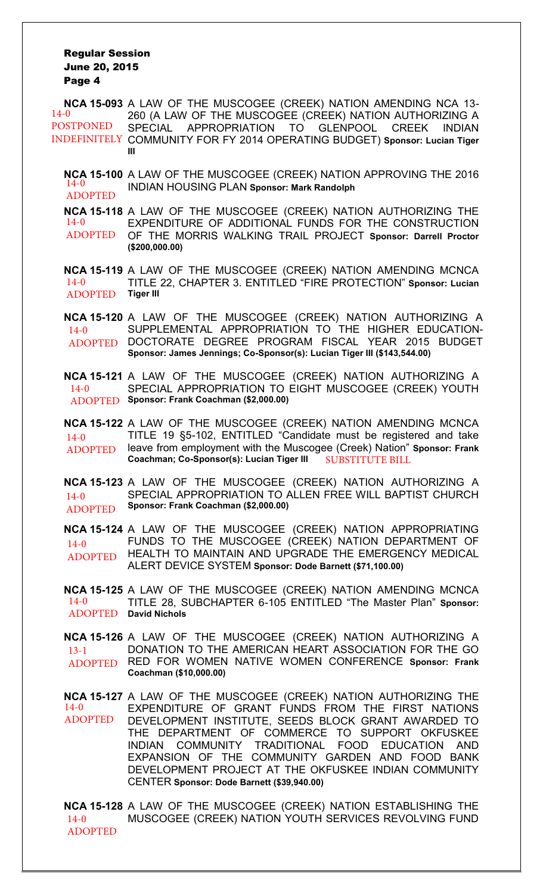| $14-0$<br><b>POSTPONED</b><br><b>INDEFINITELY</b> | NCA 15-093 A LAW OF THE MUSCOGEE (CREEK) NATION AMENDING NCA 13-<br>260 (A LAW OF THE MUSCOGEE (CREEK) NATION AUTHORIZING A<br>SPECIAL APPROPRIATION TO GLENPOOL CREEK INDIAN<br>COMMUNITY FOR FY 2014 OPERATING BUDGET) Sponsor: Lucian Tiger<br>Ш                                                                                                                                                                                       |
|---------------------------------------------------|-------------------------------------------------------------------------------------------------------------------------------------------------------------------------------------------------------------------------------------------------------------------------------------------------------------------------------------------------------------------------------------------------------------------------------------------|
| $14-0$<br><b>ADOPTED</b>                          | NCA 15-100 A LAW OF THE MUSCOGEE (CREEK) NATION APPROVING THE 2016<br><b>INDIAN HOUSING PLAN Sponsor: Mark Randolph</b>                                                                                                                                                                                                                                                                                                                   |
| $14-0$<br><b>ADOPTED</b>                          | NCA 15-118 A LAW OF THE MUSCOGEE (CREEK) NATION AUTHORIZING THE<br>EXPENDITURE OF ADDITIONAL FUNDS FOR THE CONSTRUCTION<br>OF THE MORRIS WALKING TRAIL PROJECT Sponsor: Darrell Proctor<br>(\$200,000.00)                                                                                                                                                                                                                                 |
| $14-0$<br><b>ADOPTED</b>                          | NCA 15-119 A LAW OF THE MUSCOGEE (CREEK) NATION AMENDING MCNCA<br>TITLE 22, CHAPTER 3. ENTITLED "FIRE PROTECTION" Sponsor: Lucian<br><b>Tiger III</b>                                                                                                                                                                                                                                                                                     |
| $14-0$<br><b>ADOPTED</b>                          | NCA 15-120 A LAW OF THE MUSCOGEE (CREEK) NATION AUTHORIZING A<br>SUPPLEMENTAL APPROPRIATION TO THE HIGHER EDUCATION-<br>DOCTORATE DEGREE PROGRAM FISCAL YEAR 2015 BUDGET<br>Sponsor: James Jennings; Co-Sponsor(s): Lucian Tiger III (\$143,544.00)                                                                                                                                                                                       |
| $14-0$<br><b>ADOPTED</b>                          | NCA 15-121 A LAW OF THE MUSCOGEE (CREEK) NATION AUTHORIZING A<br>SPECIAL APPROPRIATION TO EIGHT MUSCOGEE (CREEK) YOUTH<br>Sponsor: Frank Coachman (\$2,000.00)                                                                                                                                                                                                                                                                            |
| $14-0$<br><b>ADOPTED</b>                          | NCA 15-122 A LAW OF THE MUSCOGEE (CREEK) NATION AMENDING MCNCA<br>TITLE 19 §5-102, ENTITLED "Candidate must be registered and take<br>leave from employment with the Muscogee (Creek) Nation" Sponsor: Frank<br>Coachman; Co-Sponsor(s): Lucian Tiger III SUBSTITUTE BILL                                                                                                                                                                 |
| $14-0$<br><b>ADOPTED</b>                          | NCA 15-123 A LAW OF THE MUSCOGEE (CREEK) NATION AUTHORIZING A<br>SPECIAL APPROPRIATION TO ALLEN FREE WILL BAPTIST CHURCH<br>Sponsor: Frank Coachman (\$2,000.00)                                                                                                                                                                                                                                                                          |
| $14-0$<br><b>ADOPTED</b>                          | NCA 15-124 A LAW OF THE MUSCOGEE (CREEK) NATION APPROPRIATING<br>FUNDS TO THE MUSCOGEE (CREEK) NATION DEPARTMENT OF<br>HEALTH TO MAINTAIN AND UPGRADE THE EMERGENCY MEDICAL<br>ALERT DEVICE SYSTEM Sponsor: Dode Barnett (\$71,100.00)                                                                                                                                                                                                    |
| $14-0$                                            | NCA 15-125 A LAW OF THE MUSCOGEE (CREEK) NATION AMENDING MCNCA<br>TITLE 28, SUBCHAPTER 6-105 ENTITLED "The Master Plan" Sponsor:<br><b>ADOPTED</b> David Nichols                                                                                                                                                                                                                                                                          |
| $13-1$                                            | NCA 15-126 A LAW OF THE MUSCOGEE (CREEK) NATION AUTHORIZING A<br>DONATION TO THE AMERICAN HEART ASSOCIATION FOR THE GO<br>ADOPTED RED FOR WOMEN NATIVE WOMEN CONFERENCE Sponsor: Frank<br>Coachman (\$10,000.00)                                                                                                                                                                                                                          |
| $14-0$<br><b>ADOPTED</b>                          | NCA 15-127 A LAW OF THE MUSCOGEE (CREEK) NATION AUTHORIZING THE<br>EXPENDITURE OF GRANT FUNDS FROM THE FIRST NATIONS<br>DEVELOPMENT INSTITUTE, SEEDS BLOCK GRANT AWARDED TO<br>THE DEPARTMENT OF COMMERCE TO SUPPORT OKFUSKEE<br>INDIAN COMMUNITY TRADITIONAL FOOD EDUCATION AND<br>EXPANSION OF THE COMMUNITY GARDEN AND FOOD BANK<br>DEVELOPMENT PROJECT AT THE OKFUSKEE INDIAN COMMUNITY<br>CENTER Sponsor: Dode Barnett (\$39,940.00) |
|                                                   | NCA 15-128 A LAW OF THE MUSCOGEE (CREEK) NATION ESTABLISHING THE                                                                                                                                                                                                                                                                                                                                                                          |

**NCA 15-128** A LAW OF THE MUSCOGEE (CREEK) NATION ESTABLISHING THE MUSCOGEE (CREEK) NATION YOUTH SERVICES REVOLVING FUND 14-0 ADOPTED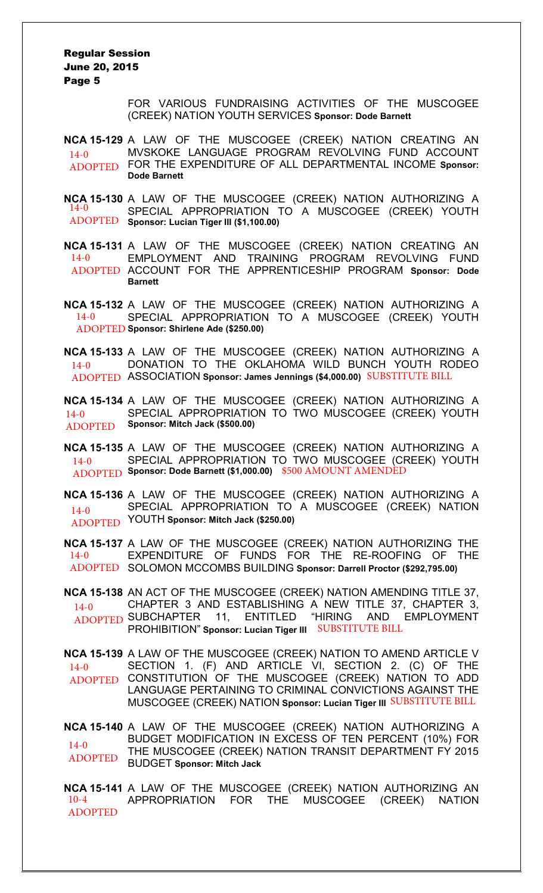> FOR VARIOUS FUNDRAISING ACTIVITIES OF THE MUSCOGEE (CREEK) NATION YOUTH SERVICES **Sponsor: Dode Barnett**

**NCA 15-129** A LAW OF THE MUSCOGEE (CREEK) NATION CREATING AN MVSKOKE LANGUAGE PROGRAM REVOLVING FUND ACCOUNT FOR THE EXPENDITURE OF ALL DEPARTMENTAL INCOME **Sponsor:**  ADOPTED **Dode Barnett**  $14-0$ 

**NCA 15-130** A LAW OF THE MUSCOGEE (CREEK) NATION AUTHORIZING A SPECIAL APPROPRIATION TO A MUSCOGEE (CREEK) YOUTH **Sponsor: Lucian Tiger III (\$1,100.00)** ADOPTED 14-0

**NCA 15-131** A LAW OF THE MUSCOGEE (CREEK) NATION CREATING AN EMPLOYMENT AND TRAINING PROGRAM REVOLVING FUND ADOPTED ACCOUNT FOR THE APPRENTICESHIP PROGRAM Sponsor: Dode **Barnett** 14-0

**NCA 15-132** A LAW OF THE MUSCOGEE (CREEK) NATION AUTHORIZING A SPECIAL APPROPRIATION TO A MUSCOGEE (CREEK) YOUTH **Sponsor: Shirlene Ade (\$250.00)** ADOPTED 14-0

**NCA 15-133** A LAW OF THE MUSCOGEE (CREEK) NATION AUTHORIZING A DONATION TO THE OKLAHOMA WILD BUNCH YOUTH RODEO ADOPTED ASSOCIATION **Sponsor: James Jennings (\$4,000.00)** SUBSTITUTE BILL 14-0

**NCA 15-134** A LAW OF THE MUSCOGEE (CREEK) NATION AUTHORIZING A SPECIAL APPROPRIATION TO TWO MUSCOGEE (CREEK) YOUTH **Sponsor: Mitch Jack (\$500.00)**  $14-0$ ADOPTED

**NCA 15-135** A LAW OF THE MUSCOGEE (CREEK) NATION AUTHORIZING A SPECIAL APPROPRIATION TO TWO MUSCOGEE (CREEK) YOUTH **Sponsor: Dode Barnett (\$1,000.00)**  ADOPTED \$500 AMOUNT AMENDED  $14-0$ 

**NCA 15-136** A LAW OF THE MUSCOGEE (CREEK) NATION AUTHORIZING A SPECIAL APPROPRIATION TO A MUSCOGEE (CREEK) NATION YOUTH **Sponsor: Mitch Jack (\$250.00)** ADOPTED  $14 - 0$ 

**NCA 15-137** A LAW OF THE MUSCOGEE (CREEK) NATION AUTHORIZING THE EXPENDITURE OF FUNDS FOR THE RE-ROOFING OF THE SOLOMON MCCOMBS BUILDING **Sponsor: Darrell Proctor (\$292,795.00)** ADOPTED 14-0

**NCA 15-138** AN ACT OF THE MUSCOGEE (CREEK) NATION AMENDING TITLE 37, CHAPTER 3 AND ESTABLISHING A NEW TITLE 37, CHAPTER 3, ADOPTED SUBCHAPTER 11, ENTITLED "HIRING AND EMPLOYMENT PROHIBITION" **Sponsor: Lucian Tiger III** SUBSTITUTE BILL 14-0

**NCA 15-139** A LAW OF THE MUSCOGEE (CREEK) NATION TO AMEND ARTICLE V SECTION 1. (F) AND ARTICLE VI, SECTION 2. (C) OF THE CONSTITUTION OF THE MUSCOGEE (CREEK) NATION TO ADD LANGUAGE PERTAINING TO CRIMINAL CONVICTIONS AGAINST THE MUSCOGEE (CREEK) NATION **Sponsor: Lucian Tiger III** SUBSTITUTE BILL $14-0$ ADOPTED

**NCA 15-140** A LAW OF THE MUSCOGEE (CREEK) NATION AUTHORIZING A BUDGET MODIFICATION IN EXCESS OF TEN PERCENT (10%) FOR THE MUSCOGEE (CREEK) NATION TRANSIT DEPARTMENT FY 2015 BUDGET **Sponsor: Mitch Jack**  $14-0$ ADOPTED

**NCA 15-141** A LAW OF THE MUSCOGEE (CREEK) NATION AUTHORIZING AN APPROPRIATION FOR THE MUSCOGEE (CREEK) NATION 10-4 ADOPTED